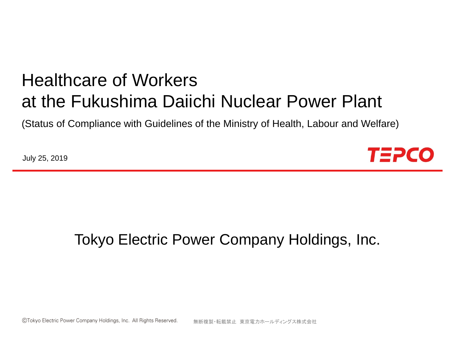# Healthcare of Workers at the Fukushima Daiichi Nuclear Power Plant

(Status of Compliance with Guidelines of the Ministry of Health, Labour and Welfare)

July 25, 2019



### Tokyo Electric Power Company Holdings, Inc.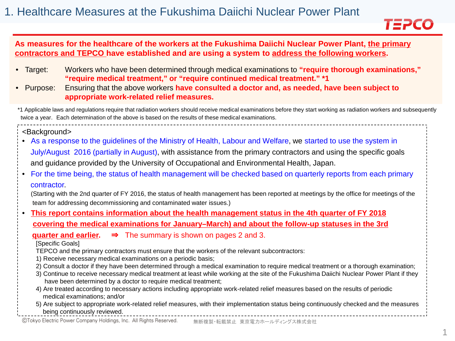

#### **As measures for the healthcare of the workers at the Fukushima Daiichi Nuclear Power Plant, the primary contractors and TEPCO have established and are using a system to address the following workers.**

- Target: Workers who have been determined through medical examinations to **"require thorough examinations," "require medical treatment," or "require continued medical treatment." \*1**
- Purpose: Ensuring that the above workers **have consulted a doctor and, as needed, have been subject to appropriate work-related relief measures.**

\*1 Applicable laws and regulations require that radiation workers should receive medical examinations before they start working as radiation workers and subsequently twice a year. Each determination of the above is based on the results of these medical examinations.

<Background>

- As a response to the guidelines of the Ministry of Health, Labour and Welfare, we started to use the system in July/August 2016 (partially in August), with assistance from the primary contractors and using the specific goals and guidance provided by the University of Occupational and Environmental Health, Japan.
- For the time being, the status of health management will be checked based on quarterly reports from each primary contractor.

(Starting with the 2nd quarter of FY 2016, the status of health management has been reported at meetings by the office for meetings of the team for addressing decommissioning and contaminated water issues.)

• **This report contains information about the health management status in the 4th quarter of FY 2018 covering the medical examinations for January–March) and about the follow-up statuses in the 3rd**

**quarter and earlier.** ⇒ The summary is shown on pages 2 and 3.

[Specific Goals]

TEPCO and the primary contractors must ensure that the workers of the relevant subcontractors:

- 1) Receive necessary medical examinations on a periodic basis;
- 2) Consult a doctor if they have been determined through a medical examination to require medical treatment or a thorough examination;
- 3) Continue to receive necessary medical treatment at least while working at the site of the Fukushima Daiichi Nuclear Power Plant if they have been determined by a doctor to require medical treatment;
- 4) Are treated according to necessary actions including appropriate work-related relief measures based on the results of periodic medical examinations; and/or

5) Are subject to appropriate work-related relief measures, with their implementation status being continuously checked and the measures being continuously reviewed.

©Tokyo Electric Power Company Holdings, Inc. All Rights Reserved. 無断複製・転載禁止 東京電力ホールディングス株式会社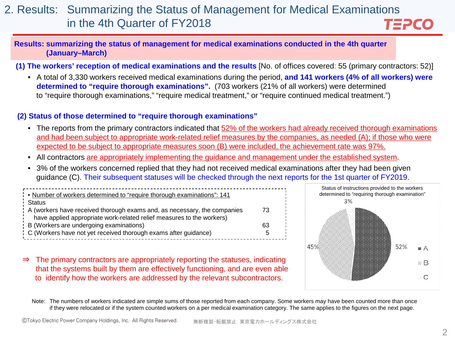#### 2. Results: Summarizing the Status of Management for Medical Examinations in the 4th Quarter of FY2018 TEPCO

#### **Results: summarizing the status of management for medical examinations conducted in the 4th quarter (January–March)**

**(1) The workers' reception of medical examinations and the results** [No. of offices covered: 55 (primary contractors: 52)]

• A total of 3,330 workers received medical examinations during the period, **and 141 workers (4% of all workers) were determined to "require thorough examinations".** (703 workers (21% of all workers) were determined to "require thorough examinations," "require medical treatment," or "require continued medical treatment.")

#### **(2) Status of those determined to "require thorough examinations"**

- The reports from the primary contractors indicated that 52% of the workers had already received thorough examinations and had been subject to appropriate work-related relief measures by the companies, as needed (A); if those who were expected to be subject to appropriate measures soon (B) were included, the achievement rate was 97%.
- All contractors are appropriately implementing the guidance and management under the established system.
- 3% of the workers concerned replied that they had not received medical examinations after they had been given guidance (C). Their subsequent statuses will be checked through the next reports for the 1st quarter of FY2019.

| 73. |
|-----|
| 63  |
| 5.  |
|     |

⇒ The primary contractors are appropriately reporting the statuses, indicating that the systems built by them are effectively functioning, and are even able to identify how the workers are addressed by the relevant subcontractors.



Note: The numbers of workers indicated are simple sums of those reported from each company. Some workers may have been counted more than once if they were relocated or if the system counted workers on a per medical examination category. The same applies to the figures on the next page.